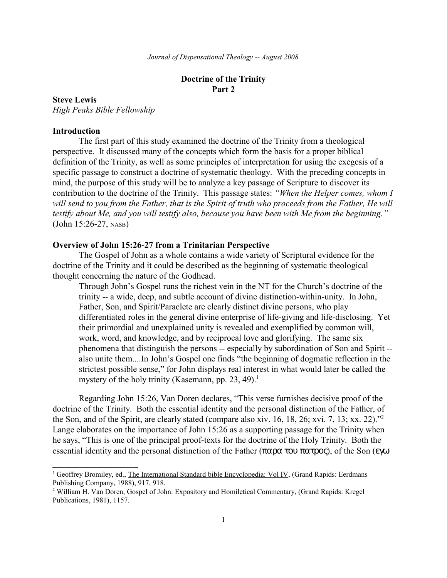# **Doctrine of the Trinity Part 2**

## **Steve Lewis**

*High Peaks Bible Fellowship*

# **Introduction**

The first part of this study examined the doctrine of the Trinity from a theological perspective. It discussed many of the concepts which form the basis for a proper biblical definition of the Trinity, as well as some principles of interpretation for using the exegesis of a specific passage to construct a doctrine of systematic theology. With the preceding concepts in mind, the purpose of this study will be to analyze a key passage of Scripture to discover its contribution to the doctrine of the Trinity. This passage states: *"When the Helper comes, whom I* will send to you from the Father, that is the Spirit of truth who proceeds from the Father, He will *testify about Me, and you will testify also, because you have been with Me from the beginning."* (John 15:26-27, NASB)

## **Overview of John 15:26-27 from a Trinitarian Perspective**

The Gospel of John as a whole contains a wide variety of Scriptural evidence for the doctrine of the Trinity and it could be described as the beginning of systematic theological thought concerning the nature of the Godhead.

Through John's Gospel runs the richest vein in the NT for the Church's doctrine of the trinity -- a wide, deep, and subtle account of divine distinction-within-unity. In John, Father, Son, and Spirit/Paraclete are clearly distinct divine persons, who play differentiated roles in the general divine enterprise of life-giving and life-disclosing. Yet their primordial and unexplained unity is revealed and exemplified by common will, work, word, and knowledge, and by reciprocal love and glorifying. The same six phenomena that distinguish the persons -- especially by subordination of Son and Spirit - also unite them....In John's Gospel one finds "the beginning of dogmatic reflection in the strictest possible sense," for John displays real interest in what would later be called the mystery of the holy trinity (Kasemann, pp. 23, 49).<sup>[1](#page-0-0)</sup>

Regarding John 15:26, Van Doren declares, "This verse furnishes decisive proof of the doctrine of the Trinity. Both the essential identity and the personal distinction of the Father, of the Son, and of the Spirit, are clearly stated (compare also xiv. 16, 18, 26; xvi. 7, 13; xx. 22)."[2](#page-0-1) Lange elaborates on the importance of John 15:26 as a supporting passage for the Trinity when he says, "This is one of the principal proof-texts for the doctrine of the Holy Trinity. Both the essential identity and the personal distinction of the Father (παρα του πατρος), of the Son (εγω

<span id="page-0-0"></span><sup>&</sup>lt;sup>1</sup> Geoffrey Bromiley, ed., The International Standard bible Encyclopedia: Vol IV, (Grand Rapids: Eerdmans Publishing Company, 1988), 917, 918.

<span id="page-0-1"></span><sup>&</sup>lt;sup>2</sup> William H. Van Doren, Gospel of John: Expository and Homiletical Commentary, (Grand Rapids: Kregel Publications, 1981), 1157.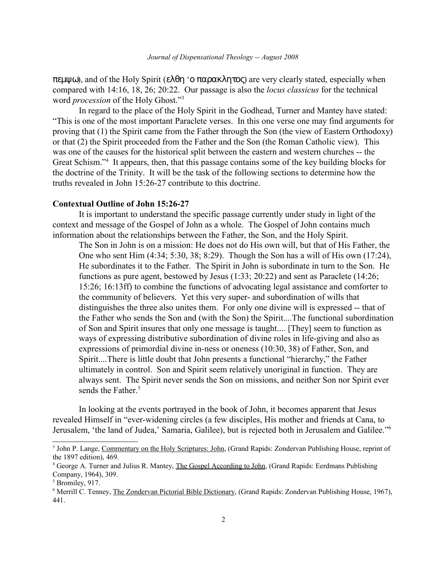πεµψω), and of the Holy Spirit (ελθη 'ο παρακλητος) are very clearly stated, especially when compared with 14:16, 18, 26; 20:22. Our passage is also the *locus classicus* for the technical word *procession* of the Holy Ghost."[3](#page-1-0)

In regard to the place of the Holy Spirit in the Godhead, Turner and Mantey have stated: "This is one of the most important Paraclete verses. In this one verse one may find arguments for proving that (1) the Spirit came from the Father through the Son (the view of Eastern Orthodoxy) or that (2) the Spirit proceeded from the Father and the Son (the Roman Catholic view). This was one of the causes for the historical split between the eastern and western churches -- the Great Schism."<sup>[4](#page-1-1)</sup> It appears, then, that this passage contains some of the key building blocks for the doctrine of the Trinity. It will be the task of the following sections to determine how the truths revealed in John 15:26-27 contribute to this doctrine.

#### **Contextual Outline of John 15:26-27**

It is important to understand the specific passage currently under study in light of the context and message of the Gospel of John as a whole. The Gospel of John contains much information about the relationships between the Father, the Son, and the Holy Spirit.

The Son in John is on a mission: He does not do His own will, but that of His Father, the One who sent Him (4:34; 5:30, 38; 8:29). Though the Son has a will of His own (17:24), He subordinates it to the Father. The Spirit in John is subordinate in turn to the Son. He functions as pure agent, bestowed by Jesus (1:33; 20:22) and sent as Paraclete (14:26; 15:26; 16:13ff) to combine the functions of advocating legal assistance and comforter to the community of believers. Yet this very super- and subordination of wills that distinguishes the three also unites them. For only one divine will is expressed -- that of the Father who sends the Son and (with the Son) the Spirit....The functional subordination of Son and Spirit insures that only one message is taught.... [They] seem to function as ways of expressing distributive subordination of divine roles in life-giving and also as expressions of primordial divine in-ness or oneness (10:30, 38) of Father, Son, and Spirit....There is little doubt that John presents a functional "hierarchy," the Father ultimately in control. Son and Spirit seem relatively unoriginal in function. They are always sent. The Spirit never sends the Son on missions, and neither Son nor Spirit ever sends the Father.<sup>[5](#page-1-2)</sup>

In looking at the events portrayed in the book of John, it becomes apparent that Jesus revealed Himself in "ever-widening circles (a few disciples, His mother and friends at Cana, to Jerusalem, 'the land of Judea,' Samaria, Galilee), but is rejected both in Jerusalem and Galilee."[6](#page-1-3)

<span id="page-1-0"></span><sup>&</sup>lt;sup>3</sup> John P. Lange, Commentary on the Holy Scriptures: John, (Grand Rapids: Zondervan Publishing House, reprint of the 1897 edition), 469.

<span id="page-1-1"></span><sup>&</sup>lt;sup>4</sup> George A. Turner and Julius R. Mantey, The Gospel According to John, (Grand Rapids: Eerdmans Publishing Company, 1964), 309.

<span id="page-1-2"></span><sup>5</sup> Bromiley, 917.

<span id="page-1-3"></span><sup>&</sup>lt;sup>6</sup> Merrill C. Tenney, The Zondervan Pictorial Bible Dictionary, (Grand Rapids: Zondervan Publishing House, 1967), 441.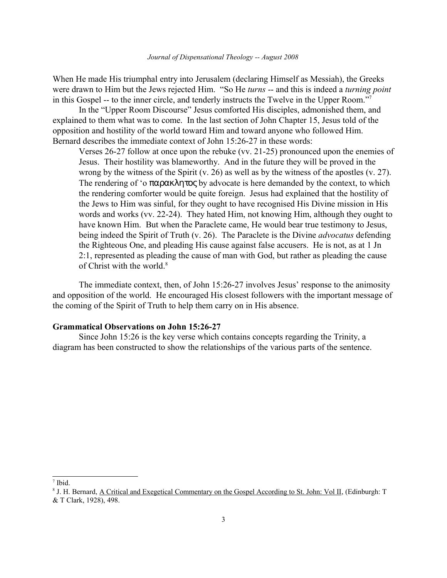When He made His triumphal entry into Jerusalem (declaring Himself as Messiah), the Greeks were drawn to Him but the Jews rejected Him. "So He *turns* -- and this is indeed a *turning point* in this Gospel -- to the inner circle, and tenderly instructs the Twelve in the Upper Room."[7](#page-2-0)

In the "Upper Room Discourse" Jesus comforted His disciples, admonished them, and explained to them what was to come. In the last section of John Chapter 15, Jesus told of the opposition and hostility of the world toward Him and toward anyone who followed Him. Bernard describes the immediate context of John 15:26-27 in these words:

Verses 26-27 follow at once upon the rebuke (vv. 21-25) pronounced upon the enemies of Jesus. Their hostility was blameworthy. And in the future they will be proved in the wrong by the witness of the Spirit (v. 26) as well as by the witness of the apostles (v. 27). The rendering of 'ο παρακλητος by advocate is here demanded by the context, to which the rendering comforter would be quite foreign. Jesus had explained that the hostility of the Jews to Him was sinful, for they ought to have recognised His Divine mission in His words and works (vv. 22-24). They hated Him, not knowing Him, although they ought to have known Him. But when the Paraclete came, He would bear true testimony to Jesus, being indeed the Spirit of Truth (v. 26). The Paraclete is the Divine *advocatus* defending the Righteous One, and pleading His cause against false accusers. He is not, as at 1 Jn 2:1, represented as pleading the cause of man with God, but rather as pleading the cause of Christ with the world.<sup>[8](#page-2-1)</sup>

The immediate context, then, of John 15:26-27 involves Jesus' response to the animosity and opposition of the world. He encouraged His closest followers with the important message of the coming of the Spirit of Truth to help them carry on in His absence.

# **Grammatical Observations on John 15:26-27**

Since John 15:26 is the key verse which contains concepts regarding the Trinity, a diagram has been constructed to show the relationships of the various parts of the sentence.

<span id="page-2-0"></span><sup>7</sup> Ibid.

<span id="page-2-1"></span><sup>&</sup>lt;sup>8</sup> J. H. Bernard, <u>A Critical and Exegetical Commentary on the Gospel According to St. John: Vol II, (Edinburgh: T</u> & T Clark, 1928), 498.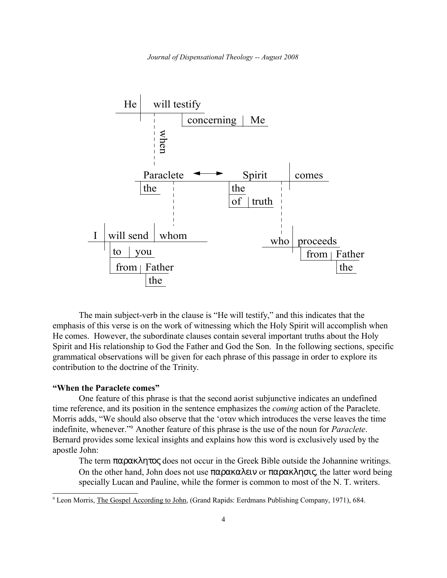

The main subject-verb in the clause is "He will testify," and this indicates that the emphasis of this verse is on the work of witnessing which the Holy Spirit will accomplish when He comes. However, the subordinate clauses contain several important truths about the Holy Spirit and His relationship to God the Father and God the Son. In the following sections, specific grammatical observations will be given for each phrase of this passage in order to explore its contribution to the doctrine of the Trinity.

#### **"When the Paraclete comes"**

One feature of this phrase is that the second aorist subjunctive indicates an undefined time reference, and its position in the sentence emphasizes the *coming* action of the Paraclete. Morris adds, "We should also observe that the ' $\sigma \tau \alpha v$  which introduces the verse leaves the time indefinite, whenever."[9](#page-3-0) Another feature of this phrase is the use of the noun for *Paraclete*. Bernard provides some lexical insights and explains how this word is exclusively used by the apostle John:

The term  $\pi \alpha \beta \alpha \kappa \lambda \eta \tau \alpha \beta$  does not occur in the Greek Bible outside the Johannine writings. On the other hand, John does not use παρακαλειν or παρακλησις, the latter word being specially Lucan and Pauline, while the former is common to most of the N. T. writers.

<span id="page-3-0"></span><sup>&</sup>lt;sup>9</sup> Leon Morris, The Gospel According to John, (Grand Rapids: Eerdmans Publishing Company, 1971), 684.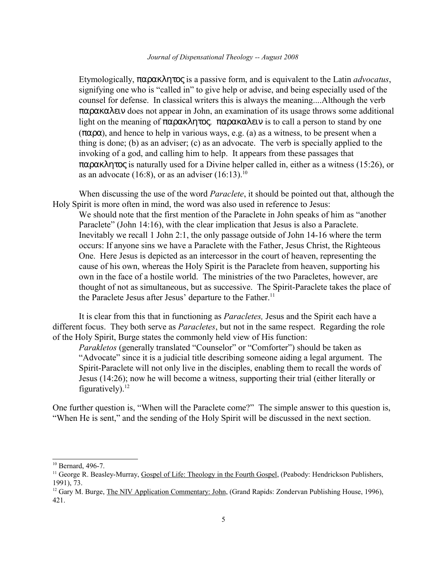Etymologically, παρακλητος is a passive form, and is equivalent to the Latin *advocatus*, signifying one who is "called in" to give help or advise, and being especially used of the counsel for defense. In classical writers this is always the meaning....Although the verb παρακαλειν does not appear in John, an examination of its usage throws some additional light on the meaning of παρακλητος. παρακαλειν is to call a person to stand by one (παρα), and hence to help in various ways, e.g. (a) as a witness, to be present when a thing is done; (b) as an adviser; (c) as an advocate. The verb is specially applied to the invoking of a god, and calling him to help. It appears from these passages that παρακλητος is naturally used for a Divine helper called in, either as a witness (15:26), or as an advocate (16:8), or as an adviser  $(16:13).^{10}$  $(16:13).^{10}$  $(16:13).^{10}$ 

When discussing the use of the word *Paraclete*, it should be pointed out that, although the Holy Spirit is more often in mind, the word was also used in reference to Jesus:

We should note that the first mention of the Paraclete in John speaks of him as "another Paraclete" (John 14:16), with the clear implication that Jesus is also a Paraclete. Inevitably we recall 1 John 2:1, the only passage outside of John 14-16 where the term occurs: If anyone sins we have a Paraclete with the Father, Jesus Christ, the Righteous One. Here Jesus is depicted as an intercessor in the court of heaven, representing the cause of his own, whereas the Holy Spirit is the Paraclete from heaven, supporting his own in the face of a hostile world. The ministries of the two Paracletes, however, are thought of not as simultaneous, but as successive. The Spirit-Paraclete takes the place of the Paraclete Jesus after Jesus' departure to the Father.<sup>[11](#page-4-1)</sup>

It is clear from this that in functioning as *Paracletes,* Jesus and the Spirit each have a different focus. They both serve as *Paracletes*, but not in the same respect. Regarding the role of the Holy Spirit, Burge states the commonly held view of His function:

*Parakletos* (generally translated "Counselor" or "Comforter") should be taken as "Advocate" since it is a judicial title describing someone aiding a legal argument. The Spirit-Paraclete will not only live in the disciples, enabling them to recall the words of Jesus (14:26); now he will become a witness, supporting their trial (either literally or figuratively). $12$ 

One further question is, "When will the Paraclete come?" The simple answer to this question is, "When He is sent," and the sending of the Holy Spirit will be discussed in the next section.

<span id="page-4-0"></span><sup>10</sup> Bernard, 496-7.

<span id="page-4-1"></span><sup>&</sup>lt;sup>11</sup> George R. Beasley-Murray, Gospel of Life: Theology in the Fourth Gospel, (Peabody: Hendrickson Publishers, 1991), 73.

<span id="page-4-2"></span><sup>&</sup>lt;sup>12</sup> Gary M. Burge, *The NIV Application Commentary: John*, (Grand Rapids: Zondervan Publishing House, 1996), 421.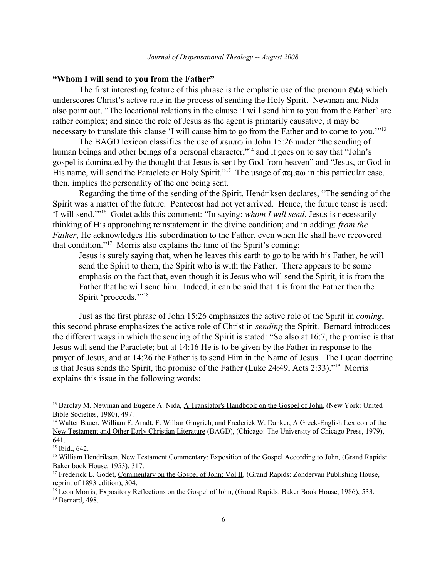#### **"Whom I will send to you from the Father"**

The first interesting feature of this phrase is the emphatic use of the pronoun εγω, which underscores Christ's active role in the process of sending the Holy Spirit. Newman and Nida also point out, "The locational relations in the clause 'I will send him to you from the Father' are rather complex; and since the role of Jesus as the agent is primarily causative, it may be necessary to translate this clause 'I will cause him to go from the Father and to come to you.'"[13](#page-5-0)

The BAGD lexicon classifies the use of  $\pi \in \mathfrak{m}$  in John 15:26 under "the sending of human beings and other beings of a personal character,"<sup>[14](#page-5-1)</sup> and it goes on to say that "John's gospel is dominated by the thought that Jesus is sent by God from heaven" and "Jesus, or God in His name, will send the Paraclete or Holy Spirit."<sup>[15](#page-5-2)</sup> The usage of  $\pi \in \mathfrak{m}$  in this particular case, then, implies the personality of the one being sent.

Regarding the time of the sending of the Spirit, Hendriksen declares, "The sending of the Spirit was a matter of the future. Pentecost had not yet arrived. Hence, the future tense is used: 'I will send.'"[16](#page-5-3) Godet adds this comment: "In saying: *whom I will send*, Jesus is necessarily thinking of His approaching reinstatement in the divine condition; and in adding: *from the Father*, He acknowledges His subordination to the Father, even when He shall have recovered that condition."[17](#page-5-4) Morris also explains the time of the Spirit's coming:

Jesus is surely saying that, when he leaves this earth to go to be with his Father, he will send the Spirit to them, the Spirit who is with the Father. There appears to be some emphasis on the fact that, even though it is Jesus who will send the Spirit, it is from the Father that he will send him. Indeed, it can be said that it is from the Father then the Spirit 'proceeds.'"<sup>[18](#page-5-5)</sup>

Just as the first phrase of John 15:26 emphasizes the active role of the Spirit in *coming*, this second phrase emphasizes the active role of Christ in *sending* the Spirit. Bernard introduces the different ways in which the sending of the Spirit is stated: "So also at 16:7, the promise is that Jesus will send the Paraclete; but at 14:16 He is to be given by the Father in response to the prayer of Jesus, and at 14:26 the Father is to send Him in the Name of Jesus. The Lucan doctrine is that Jesus sends the Spirit, the promise of the Father (Luke 24:49, Acts 2:33)."[19](#page-5-6) Morris explains this issue in the following words:

<span id="page-5-0"></span><sup>&</sup>lt;sup>13</sup> Barclay M. Newman and Eugene A. Nida, A Translator's Handbook on the Gospel of John, (New York: United Bible Societies, 1980), 497.

<span id="page-5-1"></span><sup>&</sup>lt;sup>14</sup> Walter Bauer, William F. Arndt, F. Wilbur Gingrich, and Frederick W. Danker, A Greek-English Lexicon of the New Testament and Other Early Christian Literature (BAGD), (Chicago: The University of Chicago Press, 1979), 641.

<span id="page-5-2"></span><sup>&</sup>lt;sup>15</sup> Ibid., 642.

<span id="page-5-3"></span><sup>&</sup>lt;sup>16</sup> William Hendriksen, New Testament Commentary: Exposition of the Gospel According to John, (Grand Rapids: Baker book House, 1953), 317.

<span id="page-5-4"></span><sup>&</sup>lt;sup>17</sup> Frederick L. Godet, Commentary on the Gospel of John: Vol II, (Grand Rapids: Zondervan Publishing House, reprint of 1893 edition), 304.

<span id="page-5-6"></span><span id="page-5-5"></span><sup>&</sup>lt;sup>18</sup> Leon Morris, Expository Reflections on the Gospel of John, (Grand Rapids: Baker Book House, 1986), 533. <sup>19</sup> Bernard, 498.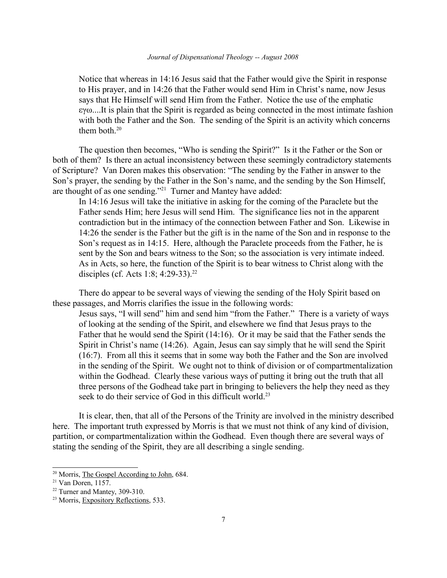Notice that whereas in 14:16 Jesus said that the Father would give the Spirit in response to His prayer, and in 14:26 that the Father would send Him in Christ's name, now Jesus says that He Himself will send Him from the Father. Notice the use of the emphatic  $\epsilon y_0$ ....It is plain that the Spirit is regarded as being connected in the most intimate fashion with both the Father and the Son. The sending of the Spirit is an activity which concerns them both. $20$ 

The question then becomes, "Who is sending the Spirit?" Is it the Father or the Son or both of them? Is there an actual inconsistency between these seemingly contradictory statements of Scripture? Van Doren makes this observation: "The sending by the Father in answer to the Son's prayer, the sending by the Father in the Son's name, and the sending by the Son Himself, are thought of as one sending."[21](#page-6-1) Turner and Mantey have added:

In 14:16 Jesus will take the initiative in asking for the coming of the Paraclete but the Father sends Him; here Jesus will send Him. The significance lies not in the apparent contradiction but in the intimacy of the connection between Father and Son. Likewise in 14:26 the sender is the Father but the gift is in the name of the Son and in response to the Son's request as in 14:15. Here, although the Paraclete proceeds from the Father, he is sent by the Son and bears witness to the Son; so the association is very intimate indeed. As in Acts, so here, the function of the Spirit is to bear witness to Christ along with the disciples (cf. Acts 1:8; 4:29-33).<sup>[22](#page-6-2)</sup>

There do appear to be several ways of viewing the sending of the Holy Spirit based on these passages, and Morris clarifies the issue in the following words:

Jesus says, "I will send" him and send him "from the Father." There is a variety of ways of looking at the sending of the Spirit, and elsewhere we find that Jesus prays to the Father that he would send the Spirit (14:16). Or it may be said that the Father sends the Spirit in Christ's name (14:26). Again, Jesus can say simply that he will send the Spirit (16:7). From all this it seems that in some way both the Father and the Son are involved in the sending of the Spirit. We ought not to think of division or of compartmentalization within the Godhead. Clearly these various ways of putting it bring out the truth that all three persons of the Godhead take part in bringing to believers the help they need as they seek to do their service of God in this difficult world.<sup>[23](#page-6-3)</sup>

It is clear, then, that all of the Persons of the Trinity are involved in the ministry described here. The important truth expressed by Morris is that we must not think of any kind of division, partition, or compartmentalization within the Godhead. Even though there are several ways of stating the sending of the Spirit, they are all describing a single sending.

<span id="page-6-0"></span><sup>20</sup> Morris, The Gospel According to John, 684.

<span id="page-6-1"></span> $21$  Van Doren, 1157.

<span id="page-6-2"></span><sup>22</sup> Turner and Mantey, 309-310.

<span id="page-6-3"></span><sup>&</sup>lt;sup>23</sup> Morris, Expository Reflections, 533.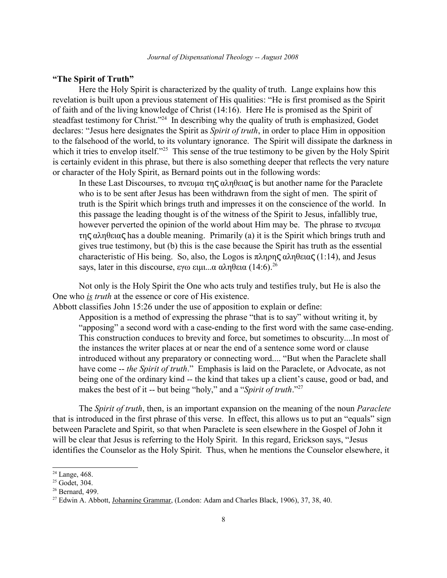#### **"The Spirit of Truth"**

Here the Holy Spirit is characterized by the quality of truth. Lange explains how this revelation is built upon a previous statement of His qualities: "He is first promised as the Spirit of faith and of the living knowledge of Christ (14:16). Here He is promised as the Spirit of steadfast testimony for Christ."<sup>[24](#page-7-0)</sup> In describing why the quality of truth is emphasized, Godet declares: "Jesus here designates the Spirit as *Spirit of truth*, in order to place Him in opposition to the falsehood of the world, to its voluntary ignorance. The Spirit will dissipate the darkness in which it tries to envelop itself.<sup>2[25](#page-7-1)</sup> This sense of the true testimony to be given by the Holy Spirit is certainly evident in this phrase, but there is also something deeper that reflects the very nature or character of the Holy Spirit, as Bernard points out in the following words:

In these Last Discourses, το πνευμα της αληθειας is but another name for the Paraclete who is to be sent after Jesus has been withdrawn from the sight of men. The spirit of truth is the Spirit which brings truth and impresses it on the conscience of the world. In this passage the leading thought is of the witness of the Spirit to Jesus, infallibly true, however perverted the opinion of the world about Him may be. The phrase to  $\pi v \in \mathfrak{g}$  $της αληθειας has a double meaning. Primarily (a) it is the Spirit which brings truth and$ gives true testimony, but (b) this is the case because the Spirit has truth as the essential characteristic of His being. So, also, the Logos is  $\pi \lambda \eta \rho \eta \varsigma \alpha \lambda \eta \theta \epsilon \iota \alpha \varsigma$  (1:14), and Jesus says, later in this discourse,  $\varepsilon y\omega \varepsilon \mu\mu \ldots \alpha \alpha \lambda \eta \theta \varepsilon \alpha (14:6)^{26}$  $\varepsilon y\omega \varepsilon \mu\mu \ldots \alpha \alpha \lambda \eta \theta \varepsilon \alpha (14:6)^{26}$  $\varepsilon y\omega \varepsilon \mu\mu \ldots \alpha \alpha \lambda \eta \theta \varepsilon \alpha (14:6)^{26}$ 

Not only is the Holy Spirit the One who acts truly and testifies truly, but He is also the One who *is truth* at the essence or core of His existence.

Abbott classifies John 15:26 under the use of apposition to explain or define:

Apposition is a method of expressing the phrase "that is to say" without writing it, by "apposing" a second word with a case-ending to the first word with the same case-ending. This construction conduces to brevity and force, but sometimes to obscurity....In most of the instances the writer places at or near the end of a sentence some word or clause introduced without any preparatory or connecting word.... "But when the Paraclete shall have come -- *the Spirit of truth*." Emphasis is laid on the Paraclete, or Advocate, as not being one of the ordinary kind -- the kind that takes up a client's cause, good or bad, and makes the best of it -- but being "holy," and a "*Spirit of truth*."[27](#page-7-3)

The *Spirit of truth*, then, is an important expansion on the meaning of the noun *Paraclete* that is introduced in the first phrase of this verse. In effect, this allows us to put an "equals" sign between Paraclete and Spirit, so that when Paraclete is seen elsewhere in the Gospel of John it will be clear that Jesus is referring to the Holy Spirit. In this regard, Erickson says, "Jesus identifies the Counselor as the Holy Spirit. Thus, when he mentions the Counselor elsewhere, it

<span id="page-7-0"></span><sup>&</sup>lt;sup>24</sup> Lange, 468.

<span id="page-7-1"></span> $25$  Godet, 304.

<span id="page-7-2"></span><sup>26</sup> Bernard, 499.

<span id="page-7-3"></span><sup>27</sup> Edwin A. Abbott, Johannine Grammar, (London: Adam and Charles Black, 1906), 37, 38, 40.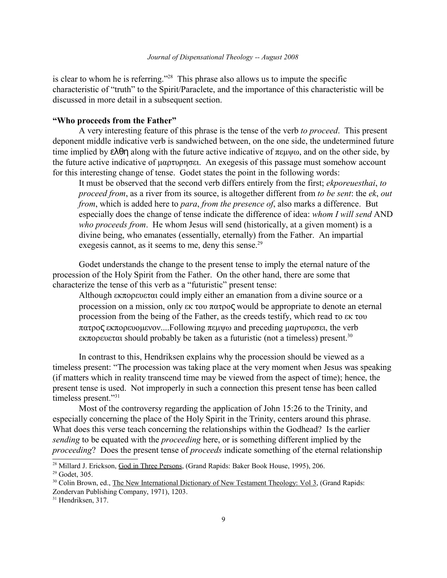is clear to whom he is referring."[28](#page-8-0) This phrase also allows us to impute the specific characteristic of "truth" to the Spirit/Paraclete, and the importance of this characteristic will be discussed in more detail in a subsequent section.

## **"Who proceeds from the Father"**

A very interesting feature of this phrase is the tense of the verb *to proceed*. This present deponent middle indicative verb is sandwiched between, on the one side, the undetermined future time implied by  $\epsilon \lambda \theta \eta$  along with the future active indicative of  $\pi \epsilon \mu \psi \omega$ , and on the other side, by the future active indicative of  $\mu\alpha\rho\tau\nu\rho\eta\sigma\epsilon$ . An exegesis of this passage must somehow account for this interesting change of tense. Godet states the point in the following words:

It must be observed that the second verb differs entirely from the first; *ekporeuesthai*, *to proceed from*, as a river from its source, is altogether different from *to be sent*: the *ek*, *out from*, which is added here to *para*, *from the presence of*, also marks a difference. But especially does the change of tense indicate the difference of idea: *whom I will send* AND *who proceeds from*. He whom Jesus will send (historically, at a given moment) is a divine being, who emanates (essentially, eternally) from the Father. An impartial exegesis cannot, as it seems to me, deny this sense.<sup>[29](#page-8-1)</sup>

Godet understands the change to the present tense to imply the eternal nature of the procession of the Holy Spirit from the Father. On the other hand, there are some that characterize the tense of this verb as a "futuristic" present tense:

Although  $\epsilon$  **K** $\pi$ opevetai could imply either an emanation from a divine source or a procession on a mission, only  $\epsilon \kappa$  to  $\pi \alpha \tau \rho o \zeta$  would be appropriate to denote an eternal procession from the being of the Father, as the creeds testify, which read to ek tou  $\pi\alpha\tau\omega\sigma\epsilon$  ek $\pi\omega$ evolusvov....Following  $\pi\epsilon\omega\omega$  and preceding  $\mu\alpha\rho\tau\omega\epsilon$  the verb  $\epsilon$ κπορευεται should probably be taken as a futuristic (not a timeless) present.<sup>[30](#page-8-2)</sup>

In contrast to this, Hendriksen explains why the procession should be viewed as a timeless present: "The procession was taking place at the very moment when Jesus was speaking (if matters which in reality transcend time may be viewed from the aspect of time); hence, the present tense is used. Not improperly in such a connection this present tense has been called timeless present."[31](#page-8-3)

Most of the controversy regarding the application of John 15:26 to the Trinity, and especially concerning the place of the Holy Spirit in the Trinity, centers around this phrase. What does this verse teach concerning the relationships within the Godhead? Is the earlier *sending* to be equated with the *proceeding* here, or is something different implied by the *proceeding*? Does the present tense of *proceeds* indicate something of the eternal relationship

<span id="page-8-1"></span><span id="page-8-0"></span><sup>&</sup>lt;sup>28</sup> Millard J. Erickson, God in Three Persons, (Grand Rapids: Baker Book House, 1995), 206. <sup>29</sup> Godet, 305.

<span id="page-8-2"></span><sup>&</sup>lt;sup>30</sup> Colin Brown, ed., The New International Dictionary of New Testament Theology: Vol 3, (Grand Rapids: Zondervan Publishing Company, 1971), 1203.

<span id="page-8-3"></span><sup>&</sup>lt;sup>31</sup> Hendriksen, 317.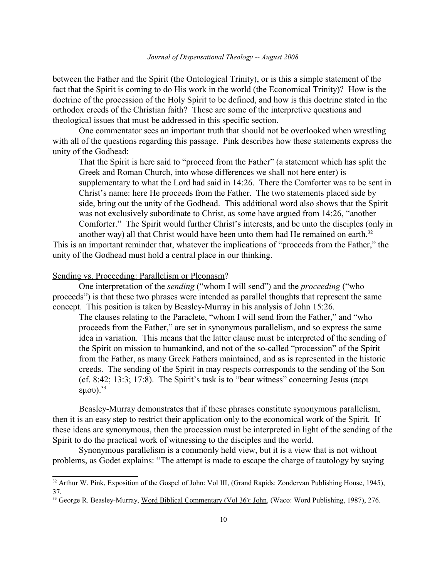between the Father and the Spirit (the Ontological Trinity), or is this a simple statement of the fact that the Spirit is coming to do His work in the world (the Economical Trinity)? How is the doctrine of the procession of the Holy Spirit to be defined, and how is this doctrine stated in the orthodox creeds of the Christian faith? These are some of the interpretive questions and theological issues that must be addressed in this specific section.

One commentator sees an important truth that should not be overlooked when wrestling with all of the questions regarding this passage. Pink describes how these statements express the unity of the Godhead:

That the Spirit is here said to "proceed from the Father" (a statement which has split the Greek and Roman Church, into whose differences we shall not here enter) is supplementary to what the Lord had said in 14:26. There the Comforter was to be sent in Christ's name: here He proceeds from the Father. The two statements placed side by side, bring out the unity of the Godhead. This additional word also shows that the Spirit was not exclusively subordinate to Christ, as some have argued from 14:26, "another Comforter." The Spirit would further Christ's interests, and be unto the disciples (only in another way) all that Christ would have been unto them had He remained on earth.<sup>[32](#page-9-0)</sup>

This is an important reminder that, whatever the implications of "proceeds from the Father," the unity of the Godhead must hold a central place in our thinking.

#### Sending vs. Proceeding: Parallelism or Pleonasm?

One interpretation of the *sending* ("whom I will send") and the *proceeding* ("who proceeds") is that these two phrases were intended as parallel thoughts that represent the same concept. This position is taken by Beasley-Murray in his analysis of John 15:26.

The clauses relating to the Paraclete, "whom I will send from the Father," and "who proceeds from the Father," are set in synonymous parallelism, and so express the same idea in variation. This means that the latter clause must be interpreted of the sending of the Spirit on mission to humankind, and not of the so-called "procession" of the Spirit from the Father, as many Greek Fathers maintained, and as is represented in the historic creeds. The sending of the Spirit in may respects corresponds to the sending of the Son (cf. 8:42; 13:3; 17:8). The Spirit's task is to "bear witness" concerning Jesus ( $\pi \epsilon$ pu  $(uou).$ <sup>[33](#page-9-1)</sup>

Beasley-Murray demonstrates that if these phrases constitute synonymous parallelism, then it is an easy step to restrict their application only to the economical work of the Spirit. If these ideas are synonymous, then the procession must be interpreted in light of the sending of the Spirit to do the practical work of witnessing to the disciples and the world.

Synonymous parallelism is a commonly held view, but it is a view that is not without problems, as Godet explains: "The attempt is made to escape the charge of tautology by saying

<span id="page-9-0"></span><sup>&</sup>lt;sup>32</sup> Arthur W. Pink, Exposition of the Gospel of John: Vol III, (Grand Rapids: Zondervan Publishing House, 1945), 37.

<span id="page-9-1"></span><sup>&</sup>lt;sup>33</sup> George R. Beasley-Murray, Word Biblical Commentary (Vol 36): John, (Waco: Word Publishing, 1987), 276.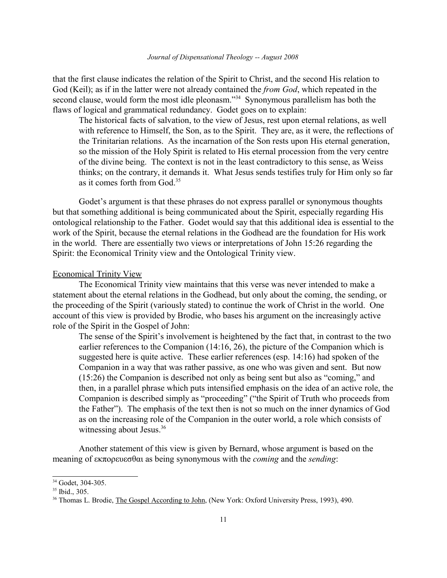that the first clause indicates the relation of the Spirit to Christ, and the second His relation to God (Keil); as if in the latter were not already contained the *from God*, which repeated in the second clause, would form the most idle pleonasm."<sup>[34](#page-10-0)</sup> Synonymous parallelism has both the flaws of logical and grammatical redundancy. Godet goes on to explain:

The historical facts of salvation, to the view of Jesus, rest upon eternal relations, as well with reference to Himself, the Son, as to the Spirit. They are, as it were, the reflections of the Trinitarian relations. As the incarnation of the Son rests upon His eternal generation, so the mission of the Holy Spirit is related to His eternal procession from the very centre of the divine being. The context is not in the least contradictory to this sense, as Weiss thinks; on the contrary, it demands it. What Jesus sends testifies truly for Him only so far as it comes forth from God.[35](#page-10-1)

Godet's argument is that these phrases do not express parallel or synonymous thoughts but that something additional is being communicated about the Spirit, especially regarding His ontological relationship to the Father. Godet would say that this additional idea is essential to the work of the Spirit, because the eternal relations in the Godhead are the foundation for His work in the world. There are essentially two views or interpretations of John 15:26 regarding the Spirit: the Economical Trinity view and the Ontological Trinity view.

#### Economical Trinity View

The Economical Trinity view maintains that this verse was never intended to make a statement about the eternal relations in the Godhead, but only about the coming, the sending, or the proceeding of the Spirit (variously stated) to continue the work of Christ in the world. One account of this view is provided by Brodie, who bases his argument on the increasingly active role of the Spirit in the Gospel of John:

The sense of the Spirit's involvement is heightened by the fact that, in contrast to the two earlier references to the Companion (14:16, 26), the picture of the Companion which is suggested here is quite active. These earlier references (esp. 14:16) had spoken of the Companion in a way that was rather passive, as one who was given and sent. But now (15:26) the Companion is described not only as being sent but also as "coming," and then, in a parallel phrase which puts intensified emphasis on the idea of an active role, the Companion is described simply as "proceeding" ("the Spirit of Truth who proceeds from the Father"). The emphasis of the text then is not so much on the inner dynamics of God as on the increasing role of the Companion in the outer world, a role which consists of witnessing about Jesus.<sup>[36](#page-10-2)</sup>

Another statement of this view is given by Bernard, whose argument is based on the meaning of εκπορευεσθαι as being synonymous with the *coming* and the *sending*:

<span id="page-10-0"></span><sup>34</sup> Godet, 304-305.

<span id="page-10-1"></span><sup>35</sup> Ibid., 305.

<span id="page-10-2"></span><sup>36</sup> Thomas L. Brodie, The Gospel According to John, (New York: Oxford University Press, 1993), 490.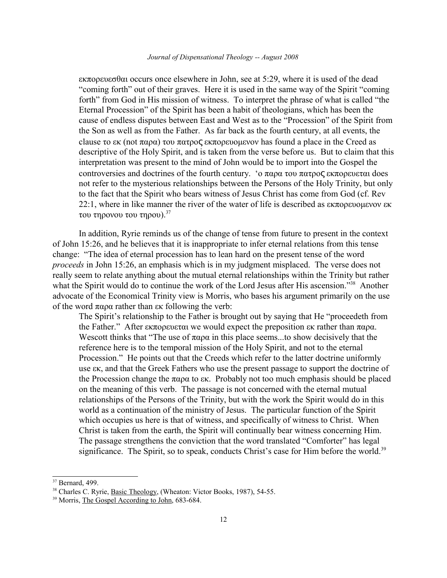$\epsilon$ K $\pi$ opeve $\sigma$  $\theta$ au occurs once elsewhere in John, see at 5:29, where it is used of the dead "coming forth" out of their graves. Here it is used in the same way of the Spirit "coming forth" from God in His mission of witness. To interpret the phrase of what is called "the Eternal Procession" of the Spirit has been a habit of theologians, which has been the cause of endless disputes between East and West as to the "Procession" of the Spirit from the Son as well as from the Father. As far back as the fourth century, at all events, the clause to  $\epsilon$  (not  $\pi$ αρα) tou  $\pi$ ατρος εκπορευομενον has found a place in the Creed as descriptive of the Holy Spirit, and is taken from the verse before us. But to claim that this interpretation was present to the mind of John would be to import into the Gospel the controversies and doctrines of the fourth century. ' $\alpha \pi \alpha \rho \alpha \tau$  tou  $\pi \alpha \tau \rho \sigma \zeta$  ek $\pi \sigma \rho \epsilon \nu \epsilon \tau \alpha \iota$  does not refer to the mysterious relationships between the Persons of the Holy Trinity, but only to the fact that the Spirit who bears witness of Jesus Christ has come from God (cf. Rev 22:1, where in like manner the river of the water of life is described as  $\epsilon \kappa \pi$  operative  $\kappa$ του τηρονου του τηρου).<sup>[37](#page-11-0)</sup>

In addition, Ryrie reminds us of the change of tense from future to present in the context of John 15:26, and he believes that it is inappropriate to infer eternal relations from this tense change: "The idea of eternal procession has to lean hard on the present tense of the word *proceeds* in John 15:26, an emphasis which is in my judgment misplaced. The verse does not really seem to relate anything about the mutual eternal relationships within the Trinity but rather what the Spirit would do to continue the work of the Lord Jesus after His ascension."<sup>[38](#page-11-1)</sup> Another advocate of the Economical Trinity view is Morris, who bases his argument primarily on the use of the word  $\pi \alpha \rho \alpha$  rather than  $\epsilon \kappa$  following the verb:

The Spirit's relationship to the Father is brought out by saying that He "proceedeth from the Father." After  $\epsilon \kappa \pi$  operator we would expect the preposition  $\epsilon \kappa$  rather than  $\pi \alpha \rho \alpha$ . Wescott thinks that "The use of  $\pi \alpha \rho \alpha$  in this place seems...to show decisively that the reference here is to the temporal mission of the Holy Spirit, and not to the eternal Procession." He points out that the Creeds which refer to the latter doctrine uniformly use ek, and that the Greek Fathers who use the present passage to support the doctrine of the Procession change the  $\pi\alpha\rho\alpha$  to  $\epsilon\kappa$ . Probably not too much emphasis should be placed on the meaning of this verb. The passage is not concerned with the eternal mutual relationships of the Persons of the Trinity, but with the work the Spirit would do in this world as a continuation of the ministry of Jesus. The particular function of the Spirit which occupies us here is that of witness, and specifically of witness to Christ. When Christ is taken from the earth, the Spirit will continually bear witness concerning Him. The passage strengthens the conviction that the word translated "Comforter" has legal significance. The Spirit, so to speak, conducts Christ's case for Him before the world.<sup>[39](#page-11-2)</sup>

<span id="page-11-0"></span><sup>37</sup> Bernard, 499.

<span id="page-11-1"></span><sup>&</sup>lt;sup>38</sup> Charles C. Ryrie, *Basic Theology*, (Wheaton: Victor Books, 1987), 54-55.

<span id="page-11-2"></span><sup>&</sup>lt;sup>39</sup> Morris, The Gospel According to John, 683-684.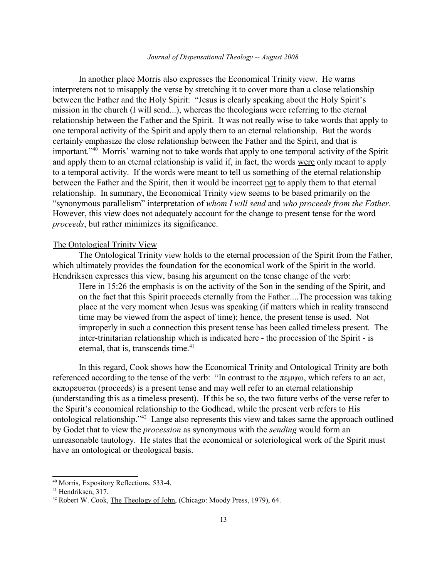#### *Journal of Dispensational Theology -- August 2008*

In another place Morris also expresses the Economical Trinity view. He warns interpreters not to misapply the verse by stretching it to cover more than a close relationship between the Father and the Holy Spirit: "Jesus is clearly speaking about the Holy Spirit's mission in the church (I will send...), whereas the theologians were referring to the eternal relationship between the Father and the Spirit. It was not really wise to take words that apply to one temporal activity of the Spirit and apply them to an eternal relationship. But the words certainly emphasize the close relationship between the Father and the Spirit, and that is important."[40](#page-12-0) Morris' warning not to take words that apply to one temporal activity of the Spirit and apply them to an eternal relationship is valid if, in fact, the words were only meant to apply to a temporal activity. If the words were meant to tell us something of the eternal relationship between the Father and the Spirit, then it would be incorrect not to apply them to that eternal relationship. In summary, the Economical Trinity view seems to be based primarily on the "synonymous parallelism" interpretation of *whom I will send* and *who proceeds from the Father*. However, this view does not adequately account for the change to present tense for the word *proceeds*, but rather minimizes its significance.

#### The Ontological Trinity View

The Ontological Trinity view holds to the eternal procession of the Spirit from the Father, which ultimately provides the foundation for the economical work of the Spirit in the world. Hendriksen expresses this view, basing his argument on the tense change of the verb:

Here in 15:26 the emphasis is on the activity of the Son in the sending of the Spirit, and on the fact that this Spirit proceeds eternally from the Father....The procession was taking place at the very moment when Jesus was speaking (if matters which in reality transcend time may be viewed from the aspect of time); hence, the present tense is used. Not improperly in such a connection this present tense has been called timeless present. The inter-trinitarian relationship which is indicated here - the procession of the Spirit - is eternal, that is, transcends time.<sup>[41](#page-12-1)</sup>

In this regard, Cook shows how the Economical Trinity and Ontological Trinity are both referenced according to the tense of the verb: "In contrast to the  $\pi \epsilon \mu \psi \omega$ , which refers to an act,  $\epsilon$ κπορευεται (proceeds) is a present tense and may well refer to an eternal relationship (understanding this as a timeless present). If this be so, the two future verbs of the verse refer to the Spirit's economical relationship to the Godhead, while the present verb refers to His ontological relationship."[42](#page-12-2) Lange also represents this view and takes same the approach outlined by Godet that to view the *procession* as synonymous with the *sending* would form an unreasonable tautology. He states that the economical or soteriological work of the Spirit must have an ontological or theological basis.

<span id="page-12-0"></span><sup>40</sup> Morris, Expository Reflections, 533-4.

<span id="page-12-1"></span><sup>41</sup> Hendriksen, 317.

<span id="page-12-2"></span><sup>42</sup> Robert W. Cook, The Theology of John, (Chicago: Moody Press, 1979), 64.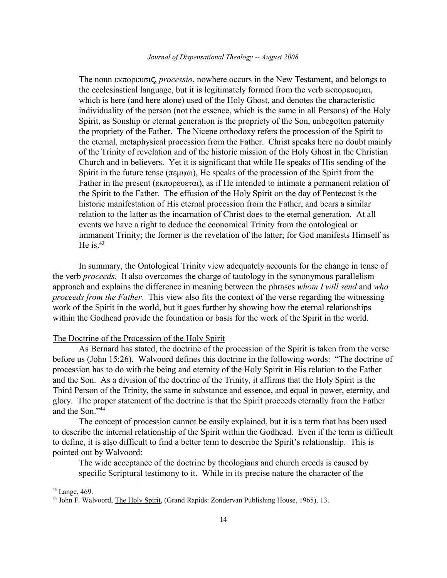The noun εκπορευσις, *processio*, nowhere occurs in the New Testament, and belongs to the ecclesiastical language, but it is legitimately formed from the verb  $\epsilon$ K $\pi$ o $\rho$  $\epsilon$ voluat, which is here (and here alone) used of the Holy Ghost, and denotes the characteristic individuality of the person (not the essence, which is the same in all Persons) of the Holy Spirit, as Sonship or eternal generation is the propriety of the Son, unbegotten paternity the propriety of the Father. The Nicene orthodoxy refers the procession of the Spirit to the eternal, metaphysical procession from the Father. Christ speaks here no doubt mainly of the Trinity of revelation and of the historic mission of the Holy Ghost in the Christian Church and in believers. Yet it is significant that while He speaks of His sending of the Spirit in the future tense ( $\pi \epsilon \mu \psi \omega$ ), He speaks of the procession of the Spirit from the Father in the present ( $\epsilon \kappa \pi \omega$ ), as if He intended to intimate a permanent relation of the Spirit to the Father. The effusion of the Holy Spirit on the day of Pentecost is the historic manifestation of His eternal procession from the Father, and bears a similar relation to the latter as the incarnation of Christ does to the eternal generation. At all events we have a right to deduce the economical Trinity from the ontological or immanent Trinity; the former is the revelation of the latter; for God manifests Himself as He is. $43$ 

In summary, the Ontological Trinity view adequately accounts for the change in tense of the verb *proceeds.* It also overcomes the charge of tautology in the synonymous parallelism approach and explains the difference in meaning between the phrases *whom I will send* and *who proceeds from the Father*. This view also fits the context of the verse regarding the witnessing work of the Spirit in the world, but it goes further by showing how the eternal relationships within the Godhead provide the foundation or basis for the work of the Spirit in the world.

## The Doctrine of the Procession of the Holy Spirit

As Bernard has stated, the doctrine of the procession of the Spirit is taken from the verse before us (John 15:26). Walvoord defines this doctrine in the following words: "The doctrine of procession has to do with the being and eternity of the Holy Spirit in His relation to the Father and the Son. As a division of the doctrine of the Trinity, it affirms that the Holy Spirit is the Third Person of the Trinity, the same in substance and essence, and equal in power, eternity, and glory. The proper statement of the doctrine is that the Spirit proceeds eternally from the Father and the Son."[44](#page-13-1)

The concept of procession cannot be easily explained, but it is a term that has been used to describe the internal relationship of the Spirit within the Godhead. Even if the term is difficult to define, it is also difficult to find a better term to describe the Spirit's relationship. This is pointed out by Walvoord:

The wide acceptance of the doctrine by theologians and church creeds is caused by specific Scriptural testimony to it. While in its precise nature the character of the

<span id="page-13-0"></span><sup>43</sup> Lange, 469.

<span id="page-13-1"></span><sup>44</sup> John F. Walvoord, The Holy Spirit, (Grand Rapids: Zondervan Publishing House, 1965), 13.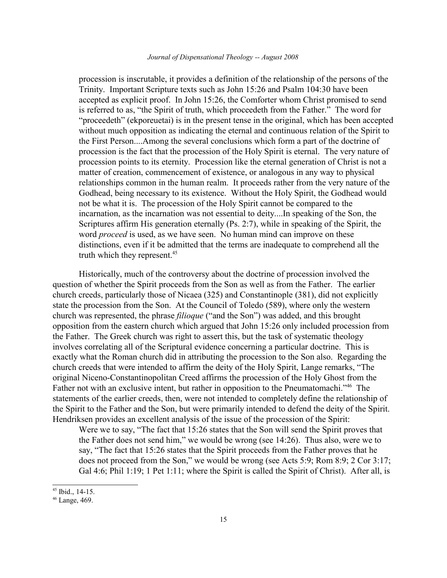procession is inscrutable, it provides a definition of the relationship of the persons of the Trinity. Important Scripture texts such as John 15:26 and Psalm 104:30 have been accepted as explicit proof. In John 15:26, the Comforter whom Christ promised to send is referred to as, "the Spirit of truth, which proceedeth from the Father." The word for "proceedeth" (ekporeuetai) is in the present tense in the original, which has been accepted without much opposition as indicating the eternal and continuous relation of the Spirit to the First Person....Among the several conclusions which form a part of the doctrine of procession is the fact that the procession of the Holy Spirit is eternal. The very nature of procession points to its eternity. Procession like the eternal generation of Christ is not a matter of creation, commencement of existence, or analogous in any way to physical relationships common in the human realm. It proceeds rather from the very nature of the Godhead, being necessary to its existence. Without the Holy Spirit, the Godhead would not be what it is. The procession of the Holy Spirit cannot be compared to the incarnation, as the incarnation was not essential to deity....In speaking of the Son, the Scriptures affirm His generation eternally (Ps. 2:7), while in speaking of the Spirit, the word *proceed* is used, as we have seen. No human mind can improve on these distinctions, even if it be admitted that the terms are inadequate to comprehend all the truth which they represent.<sup>[45](#page-14-0)</sup>

Historically, much of the controversy about the doctrine of procession involved the question of whether the Spirit proceeds from the Son as well as from the Father. The earlier church creeds, particularly those of Nicaea (325) and Constantinople (381), did not explicitly state the procession from the Son. At the Council of Toledo (589), where only the western church was represented, the phrase *filioque* ("and the Son") was added, and this brought opposition from the eastern church which argued that John 15:26 only included procession from the Father. The Greek church was right to assert this, but the task of systematic theology involves correlating all of the Scriptural evidence concerning a particular doctrine. This is exactly what the Roman church did in attributing the procession to the Son also. Regarding the church creeds that were intended to affirm the deity of the Holy Spirit, Lange remarks, "The original Niceno-Constantinopolitan Creed affirms the procession of the Holy Ghost from the Father not with an exclusive intent, but rather in opposition to the Pneumatomachi."<sup>[46](#page-14-1)</sup> The statements of the earlier creeds, then, were not intended to completely define the relationship of the Spirit to the Father and the Son, but were primarily intended to defend the deity of the Spirit. Hendriksen provides an excellent analysis of the issue of the procession of the Spirit:

Were we to say, "The fact that 15:26 states that the Son will send the Spirit proves that the Father does not send him," we would be wrong (see 14:26). Thus also, were we to say, "The fact that 15:26 states that the Spirit proceeds from the Father proves that he does not proceed from the Son," we would be wrong (see Acts 5:9; Rom 8:9; 2 Cor 3:17; Gal 4:6; Phil 1:19; 1 Pet 1:11; where the Spirit is called the Spirit of Christ). After all, is

<span id="page-14-0"></span><sup>45</sup> Ibid., 14-15.

<span id="page-14-1"></span><sup>46</sup> Lange, 469.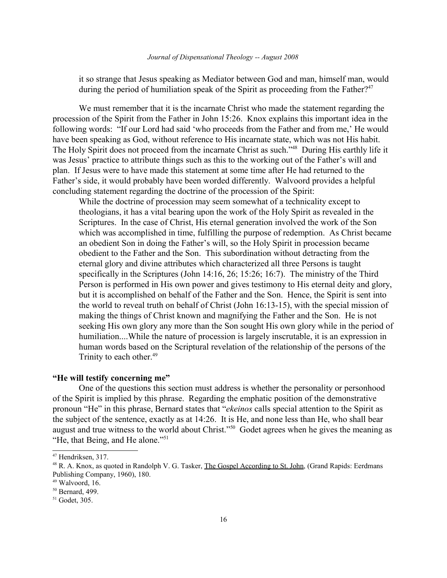it so strange that Jesus speaking as Mediator between God and man, himself man, would during the period of humiliation speak of the Spirit as proceeding from the Father?<sup>[47](#page-15-0)</sup>

We must remember that it is the incarnate Christ who made the statement regarding the procession of the Spirit from the Father in John 15:26. Knox explains this important idea in the following words: "If our Lord had said 'who proceeds from the Father and from me,' He would have been speaking as God, without reference to His incarnate state, which was not His habit. The Holy Spirit does not proceed from the incarnate Christ as such." [48](#page-15-1) During His earthly life it was Jesus' practice to attribute things such as this to the working out of the Father's will and plan. If Jesus were to have made this statement at some time after He had returned to the Father's side, it would probably have been worded differently. Walvoord provides a helpful concluding statement regarding the doctrine of the procession of the Spirit:

While the doctrine of procession may seem somewhat of a technicality except to theologians, it has a vital bearing upon the work of the Holy Spirit as revealed in the Scriptures. In the case of Christ, His eternal generation involved the work of the Son which was accomplished in time, fulfilling the purpose of redemption. As Christ became an obedient Son in doing the Father's will, so the Holy Spirit in procession became obedient to the Father and the Son. This subordination without detracting from the eternal glory and divine attributes which characterized all three Persons is taught specifically in the Scriptures (John 14:16, 26; 15:26; 16:7). The ministry of the Third Person is performed in His own power and gives testimony to His eternal deity and glory, but it is accomplished on behalf of the Father and the Son. Hence, the Spirit is sent into the world to reveal truth on behalf of Christ (John 16:13-15), with the special mission of making the things of Christ known and magnifying the Father and the Son. He is not seeking His own glory any more than the Son sought His own glory while in the period of humiliation....While the nature of procession is largely inscrutable, it is an expression in human words based on the Scriptural revelation of the relationship of the persons of the Trinity to each other.<sup>[49](#page-15-2)</sup>

## **"He will testify concerning me"**

One of the questions this section must address is whether the personality or personhood of the Spirit is implied by this phrase. Regarding the emphatic position of the demonstrative pronoun "He" in this phrase, Bernard states that "*ekeinos* calls special attention to the Spirit as the subject of the sentence, exactly as at 14:26. It is He, and none less than He, who shall bear august and true witness to the world about Christ."[50](#page-15-3) Godet agrees when he gives the meaning as "He, that Being, and He alone."[51](#page-15-4)

<span id="page-15-0"></span><sup>47</sup> Hendriksen, 317.

<span id="page-15-1"></span><sup>&</sup>lt;sup>48</sup> R. A. Knox, as quoted in Randolph V. G. Tasker, The Gospel According to St. John, (Grand Rapids: Eerdmans Publishing Company, 1960), 180.

<span id="page-15-2"></span> $49$  Walvoord, 16.

<span id="page-15-3"></span><sup>50</sup> Bernard, 499.

<span id="page-15-4"></span><sup>51</sup> Godet, 305.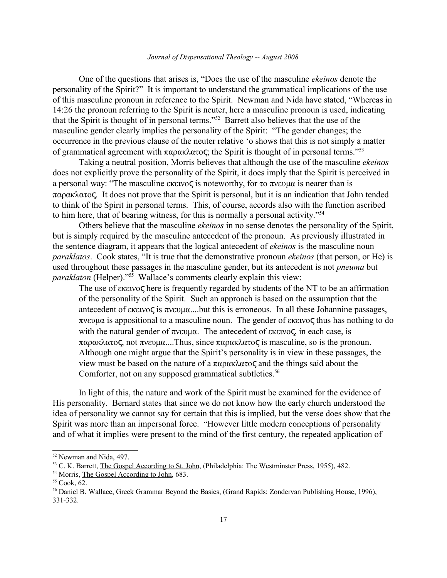#### *Journal of Dispensational Theology -- August 2008*

One of the questions that arises is, "Does the use of the masculine *ekeinos* denote the personality of the Spirit?" It is important to understand the grammatical implications of the use of this masculine pronoun in reference to the Spirit. Newman and Nida have stated, "Whereas in 14:26 the pronoun referring to the Spirit is neuter, here a masculine pronoun is used, indicating that the Spirit is thought of in personal terms."[52](#page-16-0) Barrett also believes that the use of the masculine gender clearly implies the personality of the Spirit: "The gender changes; the occurrence in the previous clause of the neuter relative 'o shows that this is not simply a matter of grammatical agreement with  $\pi \alpha \rho \alpha \kappa \lambda \alpha \tau$  (the Spirit is thought of in personal terms."<sup>[53](#page-16-1)</sup>

Taking a neutral position, Morris believes that although the use of the masculine *ekeinos* does not explicitly prove the personality of the Spirit, it does imply that the Spirit is perceived in a personal way: "The masculine  $\epsilon$ κεινος is noteworthy, for το πνευμα is nearer than is  $\pi \alpha \alpha \alpha \alpha$ , It does not prove that the Spirit is personal, but it is an indication that John tended to think of the Spirit in personal terms. This, of course, accords also with the function ascribed to him here, that of bearing witness, for this is normally a personal activity."[54](#page-16-2)

Others believe that the masculine *ekeinos* in no sense denotes the personality of the Spirit, but is simply required by the masculine antecedent of the pronoun. As previously illustrated in the sentence diagram, it appears that the logical antecedent of *ekeinos* is the masculine noun *paraklatos*. Cook states, "It is true that the demonstrative pronoun *ekeinos* (that person, or He) is used throughout these passages in the masculine gender, but its antecedent is not *pneuma* but *paraklaton* (Helper)."<sup>[55](#page-16-3)</sup> Wallace's comments clearly explain this view:

The use of  $\epsilon$ K $\epsilon$ ivoς here is frequently regarded by students of the NT to be an affirmation of the personality of the Spirit. Such an approach is based on the assumption that the antecedent of  $\epsilon$ κεινος is  $\pi$ νευμα....but this is erroneous. In all these Johannine passages,  $\pi$ vevua is appositional to a masculine noun. The gender of exervoς thus has nothing to do with the natural gender of  $\pi v \in \mathfrak{g}$ . The antecedent of  $\pi w \in \mathfrak{g}$ , in each case, is  $\pi \alpha \rho \alpha \kappa \lambda \alpha \tau$  not  $\pi \nu \epsilon \nu \mu \alpha$ ....Thus, since  $\pi \alpha \rho \alpha \kappa \lambda \alpha \tau$  is masculine, so is the pronoun. Although one might argue that the Spirit's personality is in view in these passages, the view must be based on the nature of a  $\pi \alpha \rho \alpha \kappa \lambda \alpha \tau \sigma \zeta$  and the things said about the Comforter, not on any supposed grammatical subtleties.<sup>[56](#page-16-4)</sup>

In light of this, the nature and work of the Spirit must be examined for the evidence of His personality. Bernard states that since we do not know how the early church understood the idea of personality we cannot say for certain that this is implied, but the verse does show that the Spirit was more than an impersonal force. "However little modern conceptions of personality and of what it implies were present to the mind of the first century, the repeated application of

<span id="page-16-0"></span><sup>52</sup> Newman and Nida, 497.

<span id="page-16-1"></span><sup>53</sup> C. K. Barrett, The Gospel According to St. John, (Philadelphia: The Westminster Press, 1955), 482.

<span id="page-16-2"></span><sup>54</sup> Morris, The Gospel According to John, 683.

<span id="page-16-3"></span> $55$  Cook, 62.

<span id="page-16-4"></span><sup>&</sup>lt;sup>56</sup> Daniel B. Wallace, Greek Grammar Beyond the Basics, (Grand Rapids: Zondervan Publishing House, 1996), 331-332.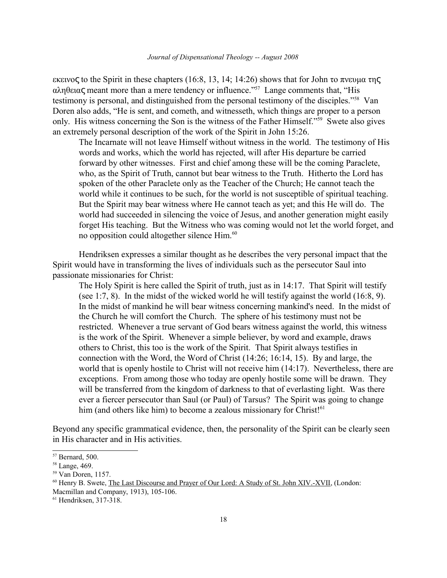εκεινος to the Spirit in these chapters (16:8, 13, 14; 14:26) shows that for John το πνευμα της  $\alpha\lambda n\theta$  et al. "His more than a mere tendency or influence."<sup>[57](#page-17-0)</sup> Lange comments that, "His testimony is personal, and distinguished from the personal testimony of the disciples."[58](#page-17-1) Van Doren also adds, "He is sent, and cometh, and witnesseth, which things are proper to a person only. His witness concerning the Son is the witness of the Father Himself."[59](#page-17-2) Swete also gives an extremely personal description of the work of the Spirit in John 15:26.

The Incarnate will not leave Himself without witness in the world. The testimony of His words and works, which the world has rejected, will after His departure be carried forward by other witnesses. First and chief among these will be the coming Paraclete, who, as the Spirit of Truth, cannot but bear witness to the Truth. Hitherto the Lord has spoken of the other Paraclete only as the Teacher of the Church; He cannot teach the world while it continues to be such, for the world is not susceptible of spiritual teaching. But the Spirit may bear witness where He cannot teach as yet; and this He will do. The world had succeeded in silencing the voice of Jesus, and another generation might easily forget His teaching. But the Witness who was coming would not let the world forget, and no opposition could altogether silence Him.<sup>[60](#page-17-3)</sup>

Hendriksen expresses a similar thought as he describes the very personal impact that the Spirit would have in transforming the lives of individuals such as the persecutor Saul into passionate missionaries for Christ:

The Holy Spirit is here called the Spirit of truth, just as in 14:17. That Spirit will testify (see 1:7, 8). In the midst of the wicked world he will testify against the world (16:8, 9). In the midst of mankind he will bear witness concerning mankind's need. In the midst of the Church he will comfort the Church. The sphere of his testimony must not be restricted. Whenever a true servant of God bears witness against the world, this witness is the work of the Spirit. Whenever a simple believer, by word and example, draws others to Christ, this too is the work of the Spirit. That Spirit always testifies in connection with the Word, the Word of Christ (14:26; 16:14, 15). By and large, the world that is openly hostile to Christ will not receive him (14:17). Nevertheless, there are exceptions. From among those who today are openly hostile some will be drawn. They will be transferred from the kingdom of darkness to that of everlasting light. Was there ever a fiercer persecutor than Saul (or Paul) of Tarsus? The Spirit was going to change him (and others like him) to become a zealous missionary for Christ<sup>[[61](#page-17-4)</sup>

Beyond any specific grammatical evidence, then, the personality of the Spirit can be clearly seen in His character and in His activities.

Macmillan and Company, 1913), 105-106.

<span id="page-17-0"></span><sup>57</sup> Bernard, 500.

<span id="page-17-1"></span><sup>58</sup> Lange, 469.

<span id="page-17-2"></span><sup>59</sup> Van Doren, 1157.

<span id="page-17-3"></span><sup>&</sup>lt;sup>60</sup> Henry B. Swete, The Last Discourse and Prayer of Our Lord: A Study of St. John XIV.-XVII, (London:

<span id="page-17-4"></span><sup>61</sup> Hendriksen, 317-318.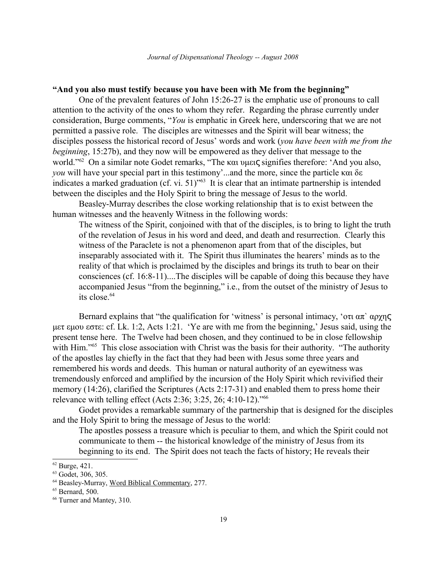# **"And you also must testify because you have been with Me from the beginning"**

One of the prevalent features of John 15:26-27 is the emphatic use of pronouns to call attention to the activity of the ones to whom they refer. Regarding the phrase currently under consideration, Burge comments, "*You* is emphatic in Greek here, underscoring that we are not permitted a passive role. The disciples are witnesses and the Spirit will bear witness; the disciples possess the historical record of Jesus' words and work (*you have been with me from the beginning*, 15:27b), and they now will be empowered as they deliver that message to the world."<sup>[62](#page-18-0)</sup> On a similar note Godet remarks, "The και υμεις signifies therefore: 'And you also, *you* will have your special part in this testimony'...and the more, since the particle  $\kappa \alpha_1 \delta \epsilon$ indicates a marked graduation (cf. vi. 51)"[63](#page-18-1) It is clear that an intimate partnership is intended between the disciples and the Holy Spirit to bring the message of Jesus to the world.

Beasley-Murray describes the close working relationship that is to exist between the human witnesses and the heavenly Witness in the following words:

The witness of the Spirit, conjoined with that of the disciples, is to bring to light the truth of the revelation of Jesus in his word and deed, and death and resurrection. Clearly this witness of the Paraclete is not a phenomenon apart from that of the disciples, but inseparably associated with it. The Spirit thus illuminates the hearers' minds as to the reality of that which is proclaimed by the disciples and brings its truth to bear on their consciences (cf. 16:8-11)....The disciples will be capable of doing this because they have accompanied Jesus "from the beginning," i.e., from the outset of the ministry of Jesus to its close  $64$ 

Bernard explains that "the qualification for 'witness' is personal intimacy, ' $\sigma \tau \alpha \pi$ '  $\alpha \rho \chi \eta \varsigma$ met emou este: cf. Lk. 1:2, Acts 1:21. 'Ye are with me from the beginning,' Jesus said, using the present tense here. The Twelve had been chosen, and they continued to be in close fellowship with Him."<sup>[65](#page-18-3)</sup> This close association with Christ was the basis for their authority. "The authority of the apostles lay chiefly in the fact that they had been with Jesus some three years and remembered his words and deeds. This human or natural authority of an eyewitness was tremendously enforced and amplified by the incursion of the Holy Spirit which revivified their memory (14:26), clarified the Scriptures (Acts 2:17-31) and enabled them to press home their relevance with telling effect (Acts 2:36; 3:25, 26; 4:10-12)."[66](#page-18-4)

Godet provides a remarkable summary of the partnership that is designed for the disciples and the Holy Spirit to bring the message of Jesus to the world:

The apostles possess a treasure which is peculiar to them, and which the Spirit could not communicate to them -- the historical knowledge of the ministry of Jesus from its beginning to its end. The Spirit does not teach the facts of history; He reveals their

<span id="page-18-0"></span><sup>62</sup> Burge, 421.

<span id="page-18-1"></span><sup>63</sup> Godet, 306, 305.

<span id="page-18-2"></span><sup>64</sup> Beasley-Murray, Word Biblical Commentary, 277.

<span id="page-18-3"></span><sup>65</sup> Bernard, 500.

<span id="page-18-4"></span><sup>66</sup> Turner and Mantey, 310.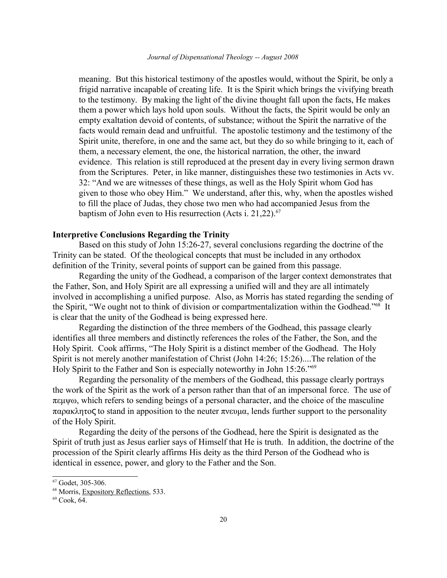meaning. But this historical testimony of the apostles would, without the Spirit, be only a frigid narrative incapable of creating life. It is the Spirit which brings the vivifying breath to the testimony. By making the light of the divine thought fall upon the facts, He makes them a power which lays hold upon souls. Without the facts, the Spirit would be only an empty exaltation devoid of contents, of substance; without the Spirit the narrative of the facts would remain dead and unfruitful. The apostolic testimony and the testimony of the Spirit unite, therefore, in one and the same act, but they do so while bringing to it, each of them, a necessary element, the one, the historical narration, the other, the inward evidence. This relation is still reproduced at the present day in every living sermon drawn from the Scriptures. Peter, in like manner, distinguishes these two testimonies in Acts vv. 32: "And we are witnesses of these things, as well as the Holy Spirit whom God has given to those who obey Him." We understand, after this, why, when the apostles wished to fill the place of Judas, they chose two men who had accompanied Jesus from the baptism of John even to His resurrection (Acts i. 21,22). $67$ 

# **Interpretive Conclusions Regarding the Trinity**

Based on this study of John 15:26-27, several conclusions regarding the doctrine of the Trinity can be stated. Of the theological concepts that must be included in any orthodox definition of the Trinity, several points of support can be gained from this passage.

Regarding the unity of the Godhead, a comparison of the larger context demonstrates that the Father, Son, and Holy Spirit are all expressing a unified will and they are all intimately involved in accomplishing a unified purpose. Also, as Morris has stated regarding the sending of the Spirit, "We ought not to think of division or compartmentalization within the Godhead."[68](#page-19-1) It is clear that the unity of the Godhead is being expressed here.

Regarding the distinction of the three members of the Godhead, this passage clearly identifies all three members and distinctly references the roles of the Father, the Son, and the Holy Spirit. Cook affirms, "The Holy Spirit is a distinct member of the Godhead. The Holy Spirit is not merely another manifestation of Christ (John 14:26; 15:26)....The relation of the Holy Spirit to the Father and Son is especially noteworthy in John 15:26."[69](#page-19-2)

Regarding the personality of the members of the Godhead, this passage clearly portrays the work of the Spirit as the work of a person rather than that of an impersonal force. The use of  $\pi \varepsilon \mu \psi \omega$ , which refers to sending beings of a personal character, and the choice of the masculine  $\pi \alpha \rho \alpha \kappa \lambda \eta \tau$  to stand in apposition to the neuter  $\pi \nu \epsilon \nu \alpha$ , lends further support to the personality of the Holy Spirit.

Regarding the deity of the persons of the Godhead, here the Spirit is designated as the Spirit of truth just as Jesus earlier says of Himself that He is truth. In addition, the doctrine of the procession of the Spirit clearly affirms His deity as the third Person of the Godhead who is identical in essence, power, and glory to the Father and the Son.

<span id="page-19-0"></span><sup>67</sup> Godet, 305-306.

<span id="page-19-1"></span><sup>&</sup>lt;sup>68</sup> Morris, Expository Reflections, 533.

<span id="page-19-2"></span> $69$  Cook, 64.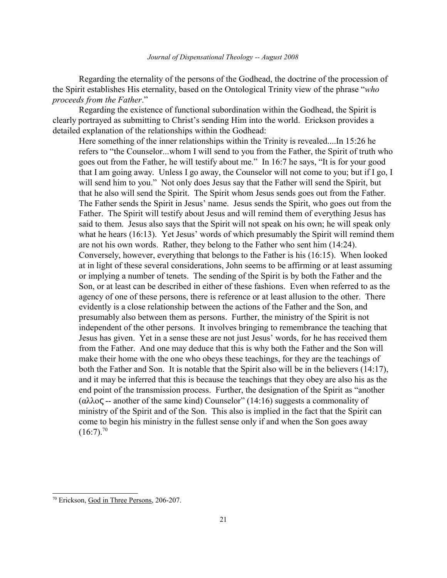Regarding the eternality of the persons of the Godhead, the doctrine of the procession of the Spirit establishes His eternality, based on the Ontological Trinity view of the phrase "*who proceeds from the Father*."

Regarding the existence of functional subordination within the Godhead, the Spirit is clearly portrayed as submitting to Christ's sending Him into the world. Erickson provides a detailed explanation of the relationships within the Godhead:

Here something of the inner relationships within the Trinity is revealed....In 15:26 he refers to "the Counselor...whom I will send to you from the Father, the Spirit of truth who goes out from the Father, he will testify about me." In 16:7 he says, "It is for your good that I am going away. Unless I go away, the Counselor will not come to you; but if I go, I will send him to you." Not only does Jesus say that the Father will send the Spirit, but that he also will send the Spirit. The Spirit whom Jesus sends goes out from the Father. The Father sends the Spirit in Jesus' name. Jesus sends the Spirit, who goes out from the Father. The Spirit will testify about Jesus and will remind them of everything Jesus has said to them. Jesus also says that the Spirit will not speak on his own; he will speak only what he hears (16:13). Yet Jesus' words of which presumably the Spirit will remind them are not his own words. Rather, they belong to the Father who sent him (14:24). Conversely, however, everything that belongs to the Father is his (16:15). When looked at in light of these several considerations, John seems to be affirming or at least assuming or implying a number of tenets. The sending of the Spirit is by both the Father and the Son, or at least can be described in either of these fashions. Even when referred to as the agency of one of these persons, there is reference or at least allusion to the other. There evidently is a close relationship between the actions of the Father and the Son, and presumably also between them as persons. Further, the ministry of the Spirit is not independent of the other persons. It involves bringing to remembrance the teaching that Jesus has given. Yet in a sense these are not just Jesus' words, for he has received them from the Father. And one may deduce that this is why both the Father and the Son will make their home with the one who obeys these teachings, for they are the teachings of both the Father and Son. It is notable that the Spirit also will be in the believers (14:17), and it may be inferred that this is because the teachings that they obey are also his as the end point of the transmission process. Further, the designation of the Spirit as "another (αλλος -- another of the same kind) Counselor" (14:16) suggests a commonality of ministry of the Spirit and of the Son. This also is implied in the fact that the Spirit can come to begin his ministry in the fullest sense only if and when the Son goes away  $(16:7).^{70}$  $(16:7).^{70}$  $(16:7).^{70}$ 

<span id="page-20-0"></span><sup>70</sup> Erickson, God in Three Persons, 206-207.